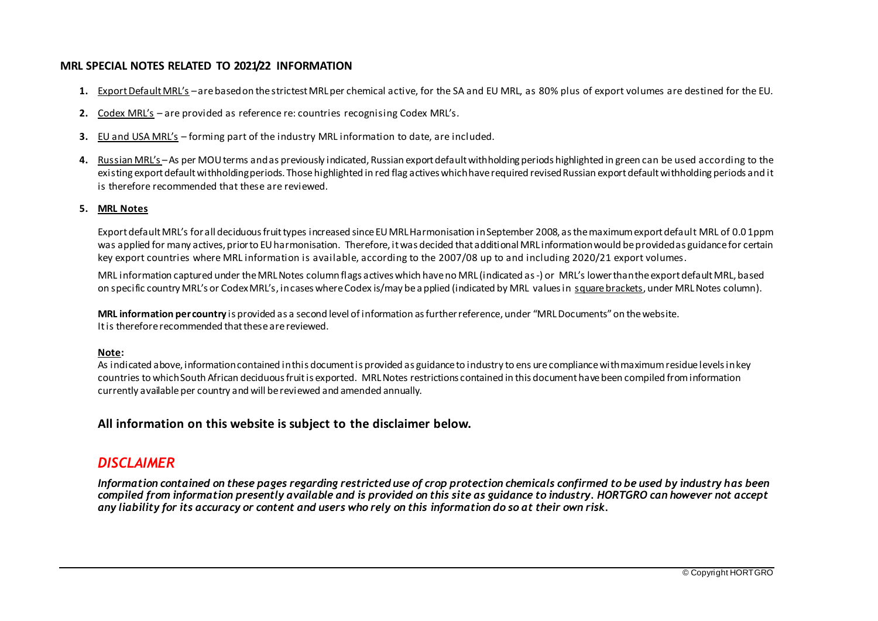## **MRL SPECIAL NOTES RELATED TO 2021/22 INFORMATION**

- **1.** Export Default MRL's –arebased on the strictest MRL per chemical active, for the SA and EU MRL, as 80% plus of export volumes are destined for the EU.
- **2.** Codex MRL's are provided as reference re: countries recognising Codex MRL's.
- **3.** EU and USA MRL's forming part of the industry MRL information to date, are included.
- **4.** Russian MRL's –As per MOU terms and as previously indicated, Russian export default withholding periods highlighted in green can be used according to the existing export default withholding periods. Those highlighted in red flag actives which have required revised Russian export default withholding periods and it is therefore recommended that these are reviewed.

#### **5. MRL Notes**

Export default MRL's for all deciduous fruit types increased since EU MRL Harmonisation in September 2008, as the maximum export default MRL of 0.0 1ppm was applied for many actives, prior to EU harmonisation. Therefore, it was decided that additional MRL information would be provided as guidance for certain key export countries where MRL information is available, according to the 2007/08 up to and including 2020/21 export volumes.

MRL information captured under the MRL Notes column flags actives which have no MRL (indicated as-) or MRL's lower than the export default MRL, based on specific country MRL's or Codex MRL's, in cases where Codex is/may be applied (indicated by MRL values in square brackets, under MRL Notes column).

**MRL information per country** is provided as a second level of information as further reference, under "MRL Documents" on the website. Itis therefore recommended that these are reviewed.

#### **Note:**

As indicated above, information contained in this document is provided as guidance to industry to ens urecompliance with maximum residuelevelsin key countries to which South African deciduous fruit is exported. MRL Notes restrictions contained in this document have been compiled from information currently available per country and will be reviewed and amended annually.

### **All information on this website is subject to the disclaimer below.**

# *DISCLAIMER*

*Information contained on these pages regarding restricted use of crop protection chemicals confirmed to be used by industry has been compiled from information presently available and is provided on this site as guidance to industry. HORTGRO can however not accept any liability for its accuracy or content and users who rely on this information do so at their own risk.*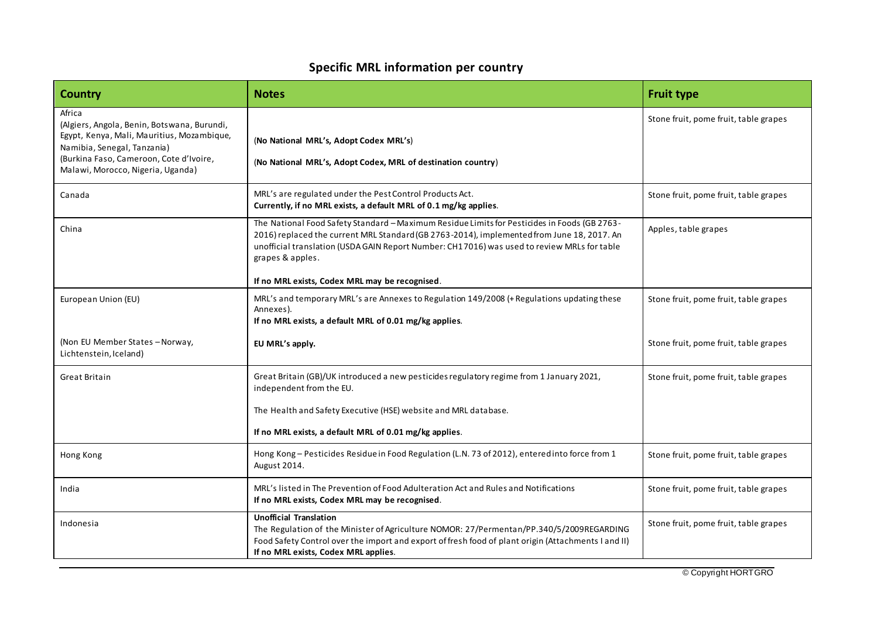# **Specific MRL information per country**

| <b>Country</b>                                                                                                                                                                                                     | <b>Notes</b>                                                                                                                                                                                                                                                                                                                                                    | <b>Fruit type</b>                     |
|--------------------------------------------------------------------------------------------------------------------------------------------------------------------------------------------------------------------|-----------------------------------------------------------------------------------------------------------------------------------------------------------------------------------------------------------------------------------------------------------------------------------------------------------------------------------------------------------------|---------------------------------------|
| Africa<br>(Algiers, Angola, Benin, Botswana, Burundi,<br>Egypt, Kenya, Mali, Mauritius, Mozambique,<br>Namibia, Senegal, Tanzania)<br>(Burkina Faso, Cameroon, Cote d'Ivoire,<br>Malawi, Morocco, Nigeria, Uganda) | (No National MRL's, Adopt Codex MRL's)<br>(No National MRL's, Adopt Codex, MRL of destination country)                                                                                                                                                                                                                                                          | Stone fruit, pome fruit, table grapes |
| Canada                                                                                                                                                                                                             | MRL's are regulated under the Pest Control Products Act.<br>Currently, if no MRL exists, a default MRL of 0.1 mg/kg applies.                                                                                                                                                                                                                                    | Stone fruit, pome fruit, table grapes |
| China                                                                                                                                                                                                              | The National Food Safety Standard - Maximum Residue Limits for Pesticides in Foods (GB 2763-<br>2016) replaced the current MRL Standard (GB 2763-2014), implemented from June 18, 2017. An<br>unofficial translation (USDA GAIN Report Number: CH17016) was used to review MRLs for table<br>grapes & apples.<br>If no MRL exists, Codex MRL may be recognised. | Apples, table grapes                  |
| European Union (EU)                                                                                                                                                                                                | MRL's and temporary MRL's are Annexes to Regulation 149/2008 (+ Regulations updating these<br>Annexes).<br>If no MRL exists, a default MRL of 0.01 mg/kg applies.                                                                                                                                                                                               | Stone fruit, pome fruit, table grapes |
| (Non EU Member States - Norway,<br>Lichtenstein, Iceland)                                                                                                                                                          | EU MRL's apply.                                                                                                                                                                                                                                                                                                                                                 | Stone fruit, pome fruit, table grapes |
| <b>Great Britain</b>                                                                                                                                                                                               | Great Britain (GB)/UK introduced a new pesticides regulatory regime from 1 January 2021,<br>independent from the EU.<br>The Health and Safety Executive (HSE) website and MRL database.<br>If no MRL exists, a default MRL of 0.01 mg/kg applies.                                                                                                               | Stone fruit, pome fruit, table grapes |
| Hong Kong                                                                                                                                                                                                          | Hong Kong - Pesticides Residue in Food Regulation (L.N. 73 of 2012), entered into force from 1<br>August 2014.                                                                                                                                                                                                                                                  | Stone fruit, pome fruit, table grapes |
| India                                                                                                                                                                                                              | MRL's listed in The Prevention of Food Adulteration Act and Rules and Notifications<br>If no MRL exists, Codex MRL may be recognised.                                                                                                                                                                                                                           | Stone fruit, pome fruit, table grapes |
| Indonesia                                                                                                                                                                                                          | <b>Unofficial Translation</b><br>The Regulation of the Minister of Agriculture NOMOR: 27/Permentan/PP.340/5/2009REGARDING<br>Food Safety Control over the import and export of fresh food of plant origin (Attachments I and II)<br>If no MRL exists, Codex MRL applies.                                                                                        | Stone fruit, pome fruit, table grapes |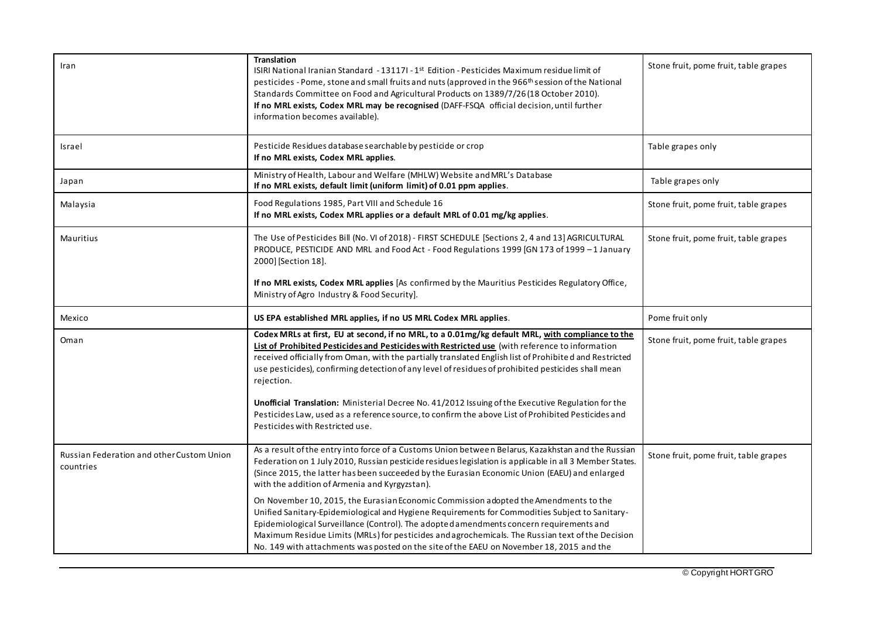| Iran                                                          | <b>Translation</b><br>ISIRI National Iranian Standard - 13117I - 1 <sup>st</sup> Edition - Pesticides Maximum residue limit of<br>pesticides - Pome, stone and small fruits and nuts (approved in the 966 <sup>th</sup> session of the National<br>Standards Committee on Food and Agricultural Products on 1389/7/26 (18 October 2010).<br>If no MRL exists, Codex MRL may be recognised (DAFF-FSQA official decision, until further<br>information becomes available).                                                                                                                                                                             | Stone fruit, pome fruit, table grapes |
|---------------------------------------------------------------|------------------------------------------------------------------------------------------------------------------------------------------------------------------------------------------------------------------------------------------------------------------------------------------------------------------------------------------------------------------------------------------------------------------------------------------------------------------------------------------------------------------------------------------------------------------------------------------------------------------------------------------------------|---------------------------------------|
| Israel                                                        | Pesticide Residues database searchable by pesticide or crop<br>If no MRL exists, Codex MRL applies.                                                                                                                                                                                                                                                                                                                                                                                                                                                                                                                                                  | Table grapes only                     |
| Japan                                                         | Ministry of Health, Labour and Welfare (MHLW) Website and MRL's Database<br>If no MRL exists, default limit (uniform limit) of 0.01 ppm applies.                                                                                                                                                                                                                                                                                                                                                                                                                                                                                                     | Table grapes only                     |
| Malaysia                                                      | Food Regulations 1985, Part VIII and Schedule 16<br>If no MRL exists, Codex MRL applies or a default MRL of 0.01 mg/kg applies.                                                                                                                                                                                                                                                                                                                                                                                                                                                                                                                      | Stone fruit, pome fruit, table grapes |
| Mauritius                                                     | The Use of Pesticides Bill (No. VI of 2018) - FIRST SCHEDULE [Sections 2, 4 and 13] AGRICULTURAL<br>PRODUCE, PESTICIDE AND MRL and Food Act - Food Regulations 1999 [GN 173 of 1999 - 1 January<br>2000] [Section 18].<br>If no MRL exists, Codex MRL applies [As confirmed by the Mauritius Pesticides Regulatory Office,<br>Ministry of Agro Industry & Food Security].                                                                                                                                                                                                                                                                            | Stone fruit, pome fruit, table grapes |
| Mexico                                                        | US EPA established MRL applies, if no US MRL Codex MRL applies.                                                                                                                                                                                                                                                                                                                                                                                                                                                                                                                                                                                      | Pome fruit only                       |
| Oman                                                          | Codex MRLs at first, EU at second, if no MRL, to a 0.01mg/kg default MRL, with compliance to the<br>List of Prohibited Pesticides and Pesticides with Restricted use (with reference to information<br>received officially from Oman, with the partially translated English list of Prohibited and Restricted                                                                                                                                                                                                                                                                                                                                        | Stone fruit, pome fruit, table grapes |
|                                                               | use pesticides), confirming detection of any level of residues of prohibited pesticides shall mean<br>rejection.<br>Unofficial Translation: Ministerial Decree No. 41/2012 Issuing of the Executive Regulation for the<br>Pesticides Law, used as a reference source, to confirm the above List of Prohibited Pesticides and<br>Pesticides with Restricted use.                                                                                                                                                                                                                                                                                      |                                       |
| <b>Russian Federation and other Custom Union</b><br>countries | As a result of the entry into force of a Customs Union between Belarus, Kazakhstan and the Russian<br>Federation on 1 July 2010, Russian pesticide residues legislation is applicable in all 3 Member States.<br>(Since 2015, the latter has been succeeded by the Eurasian Economic Union (EAEU) and enlarged<br>with the addition of Armenia and Kyrgyzstan).<br>On November 10, 2015, the Eurasian Economic Commission adopted the Amendments to the<br>Unified Sanitary-Epidemiological and Hygiene Requirements for Commodities Subject to Sanitary-<br>Epidemiological Surveillance (Control). The adopted amendments concern requirements and | Stone fruit, pome fruit, table grapes |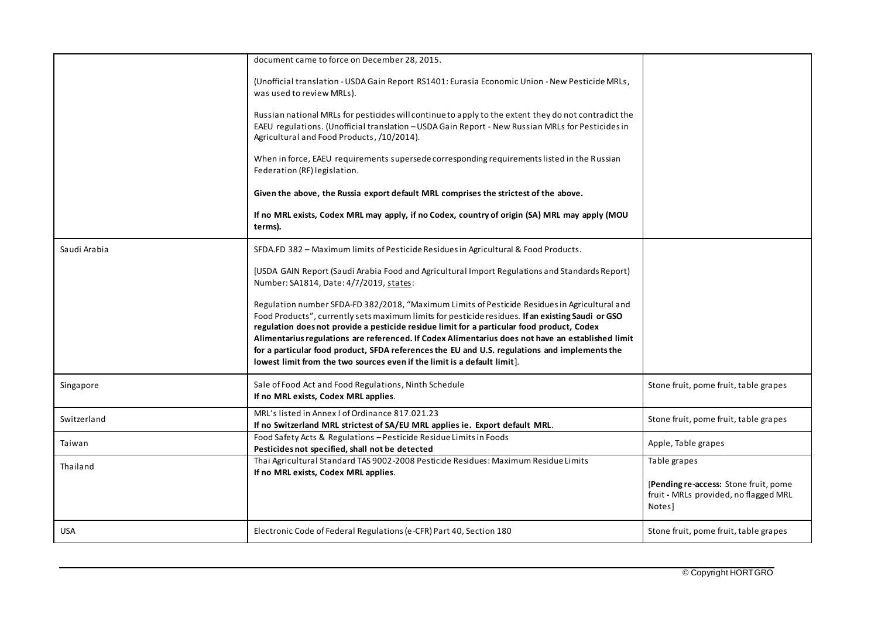|              | document came to force on December 28, 2015.                                                                                                                                                                                                                                                                                                                                                                                                                                                                                                                                       |                                                                                          |
|--------------|------------------------------------------------------------------------------------------------------------------------------------------------------------------------------------------------------------------------------------------------------------------------------------------------------------------------------------------------------------------------------------------------------------------------------------------------------------------------------------------------------------------------------------------------------------------------------------|------------------------------------------------------------------------------------------|
|              | (Unofficial translation - USDA Gain Report RS1401: Eurasia Economic Union - New Pesticide MRLs,<br>was used to review MRLs).                                                                                                                                                                                                                                                                                                                                                                                                                                                       |                                                                                          |
|              | Russian national MRLs for pesticides will continue to apply to the extent they do not contradict the<br>EAEU regulations. (Unofficial translation - USDA Gain Report - New Russian MRLs for Pesticides in<br>Agricultural and Food Products, /10/2014).                                                                                                                                                                                                                                                                                                                            |                                                                                          |
|              | When in force, EAEU requirements supersede corresponding requirements listed in the Russian<br>Federation (RF) legislation.                                                                                                                                                                                                                                                                                                                                                                                                                                                        |                                                                                          |
|              | Given the above, the Russia export default MRL comprises the strictest of the above.                                                                                                                                                                                                                                                                                                                                                                                                                                                                                               |                                                                                          |
|              | If no MRL exists, Codex MRL may apply, if no Codex, country of origin (SA) MRL may apply (MOU<br>terms).                                                                                                                                                                                                                                                                                                                                                                                                                                                                           |                                                                                          |
| Saudi Arabia | SFDA.FD 382 - Maximum limits of Pesticide Residues in Agricultural & Food Products.                                                                                                                                                                                                                                                                                                                                                                                                                                                                                                |                                                                                          |
|              | [USDA GAIN Report (Saudi Arabia Food and Agricultural Import Regulations and Standards Report)<br>Number: SA1814, Date: 4/7/2019, states:                                                                                                                                                                                                                                                                                                                                                                                                                                          |                                                                                          |
|              | Regulation number SFDA-FD 382/2018, "Maximum Limits of Pesticide Residues in Agricultural and<br>Food Products", currently sets maximum limits for pesticide residues. If an existing Saudi or GSO<br>regulation does not provide a pesticide residue limit for a particular food product, Codex<br>Alimentarius regulations are referenced. If Codex Alimentarius does not have an established limit<br>for a particular food product, SFDA references the EU and U.S. regulations and implements the<br>lowest limit from the two sources even if the limit is a default limit]. |                                                                                          |
| Singapore    | Sale of Food Act and Food Regulations, Ninth Schedule<br>If no MRL exists, Codex MRL applies.                                                                                                                                                                                                                                                                                                                                                                                                                                                                                      | Stone fruit, pome fruit, table grapes                                                    |
| Switzerland  | MRL's listed in Annex I of Ordinance 817.021.23<br>If no Switzerland MRL strictest of SA/EU MRL applies ie. Export default MRL.                                                                                                                                                                                                                                                                                                                                                                                                                                                    | Stone fruit, pome fruit, table grapes                                                    |
| Taiwan       | Food Safety Acts & Regulations - Pesticide Residue Limits in Foods<br>Pesticides not specified, shall not be detected                                                                                                                                                                                                                                                                                                                                                                                                                                                              | Apple, Table grapes                                                                      |
| Thailand     | Thai Agricultural Standard TAS 9002-2008 Pesticide Residues: Maximum Residue Limits<br>If no MRL exists, Codex MRL applies.                                                                                                                                                                                                                                                                                                                                                                                                                                                        | Table grapes                                                                             |
|              |                                                                                                                                                                                                                                                                                                                                                                                                                                                                                                                                                                                    | [Pending re-access: Stone fruit, pome<br>fruit - MRLs provided, no flagged MRL<br>Notes] |
| USA          | Electronic Code of Federal Regulations (e-CFR) Part 40, Section 180                                                                                                                                                                                                                                                                                                                                                                                                                                                                                                                | Stone fruit, pome fruit, table grapes                                                    |